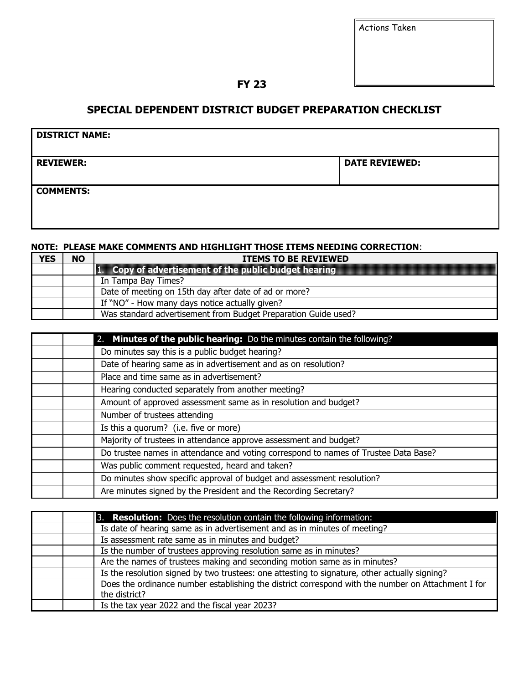| <b>Actions Taken</b> |  |
|----------------------|--|
|                      |  |

**FY 23** 

## **SPECIAL DEPENDENT DISTRICT BUDGET PREPARATION CHECKLIST**

| <b>DISTRICT NAME:</b> |                       |  |
|-----------------------|-----------------------|--|
| <b>REVIEWER:</b>      | <b>DATE REVIEWED:</b> |  |
| <b>COMMENTS:</b>      |                       |  |

## **NOTE: PLEASE MAKE COMMENTS AND HIGHLIGHT THOSE ITEMS NEEDING CORRECTION**:

| <b>YES</b> | <b>NO</b> | <b>ITEMS TO BE REVIEWED</b>                                    |
|------------|-----------|----------------------------------------------------------------|
|            |           | $\ 1.$ Copy of advertisement of the public budget hearing      |
|            |           | In Tampa Bay Times?                                            |
|            |           | Date of meeting on 15th day after date of ad or more?          |
|            |           | If "NO" - How many days notice actually given?                 |
|            |           | Was standard advertisement from Budget Preparation Guide used? |

| 2. Minutes of the public hearing: Do the minutes contain the following?             |
|-------------------------------------------------------------------------------------|
| Do minutes say this is a public budget hearing?                                     |
| Date of hearing same as in advertisement and as on resolution?                      |
| Place and time same as in advertisement?                                            |
| Hearing conducted separately from another meeting?                                  |
| Amount of approved assessment same as in resolution and budget?                     |
| Number of trustees attending                                                        |
| Is this a quorum? (i.e. five or more)                                               |
| Majority of trustees in attendance approve assessment and budget?                   |
| Do trustee names in attendance and voting correspond to names of Trustee Data Base? |
| Was public comment requested, heard and taken?                                      |
| Do minutes show specific approval of budget and assessment resolution?              |
| Are minutes signed by the President and the Recording Secretary?                    |

| 3. Resolution: Does the resolution contain the following information:                              |
|----------------------------------------------------------------------------------------------------|
| Is date of hearing same as in advertisement and as in minutes of meeting?                          |
| Is assessment rate same as in minutes and budget?                                                  |
| Is the number of trustees approving resolution same as in minutes?                                 |
| Are the names of trustees making and seconding motion same as in minutes?                          |
| Is the resolution signed by two trustees: one attesting to signature, other actually signing?      |
| Does the ordinance number establishing the district correspond with the number on Attachment I for |
| the district?                                                                                      |
| Is the tax year 2022 and the fiscal year 2023?                                                     |